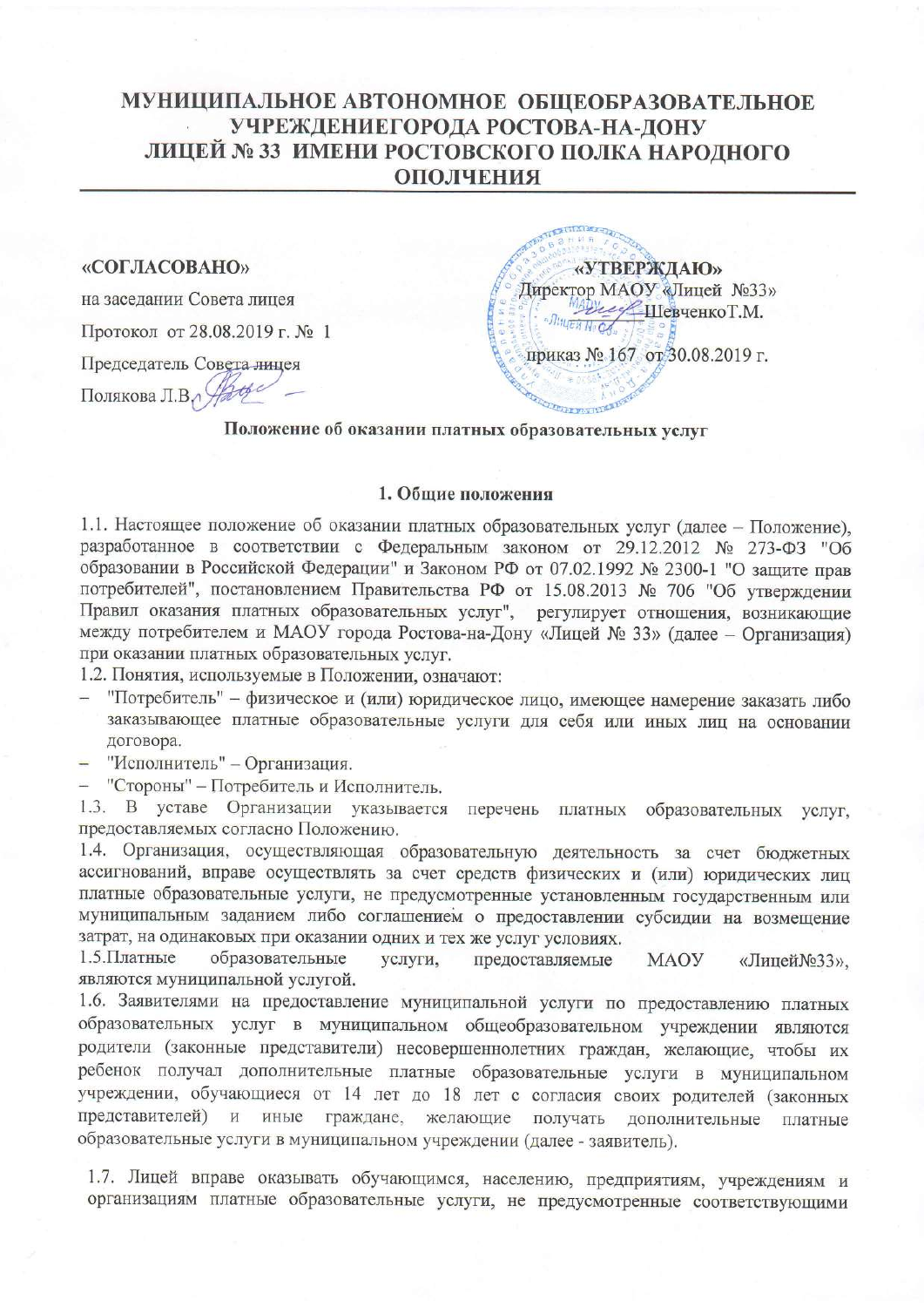### МУНИЦИПАЛЬНОЕ АВТОНОМНОЕ ОБЩЕОБРАЗОВАТЕЛЬНОЕ УЧРЕЖДЕНИЕГОРОДА РОСТОВА-НА-ДОНУ ЛИЦЕЙ № 33 ИМЕНИ РОСТОВСКОГО ПОЛКА НАРОДНОГО **ОПОЛЧЕНИЯ**

#### «СОГЛАСОВАНО»

на заседании Совета лицея

Протокол от 28.08.2019 г. № 1

Председатель Совета лицея Полякова Л.В.

«УТВЕРЖДАЮ» Директор МАОУ «Лицей №33» Черезинство Т.М. приказ № 167 от 30.08.2019 г.

#### Положение об оказании платных образовательных услуг

#### 1. Общие положения

1.1. Настоящее положение об оказании платных образовательных услуг (далее - Положение), разработанное в соответствии с Федеральным законом от 29.12.2012 № 273-ФЗ "Об образовании в Российской Федерации" и Законом РФ от 07.02.1992 № 2300-1 "О защите прав потребителей", постановлением Правительства РФ от 15.08.2013 № 706 "Об утверждении Правил оказания платных образовательных услуг", регулирует отношения, возникающие между потребителем и МАОУ города Ростова-на-Дону «Лицей № 33» (далее - Организация) при оказании платных образовательных услуг.

1.2. Понятия, используемые в Положении, означают:

- "Потребитель" физическое и (или) юридическое лицо, имеющее намерение заказать либо заказывающее платные образовательные услуги для себя или иных лиц на основании договора.
- "Исполнитель" Организация.

- "Стороны" - Потребитель и Исполнитель.

1.3. В уставе Организации указывается перечень платных образовательных услуг, предоставляемых согласно Положению.

1.4. Организация, осуществляющая образовательную деятельность за счет бюджетных ассигнований, вправе осуществлять за счет средств физических и (или) юридических лиц платные образовательные услуги, не предусмотренные установленным государственным или муниципальным заданием либо соглашением о предоставлении субсидии на возмещение затрат, на одинаковых при оказании одних и тех же услуг условиях.

1.5. Платные образовательные предоставляемые услуги, MAOY «Лицей №33», являются муниципальной услугой.

1.6. Заявителями на предоставление муниципальной услуги по предоставлению платных образовательных услуг в муниципальном общеобразовательном учреждении являются родители (законные представители) несовершеннолетних граждан, желающие, чтобы их ребенок получал дополнительные платные образовательные услуги в муниципальном учреждении, обучающиеся от 14 лет до 18 лет с согласия своих родителей (законных представителей) и иные граждане, желающие получать дополнительные платные образовательные услуги в муниципальном учреждении (далее - заявитель).

1.7. Лицей вправе оказывать обучающимся, населению, предприятиям, учреждениям и организациям платные образовательные услуги, не предусмотренные соответствующими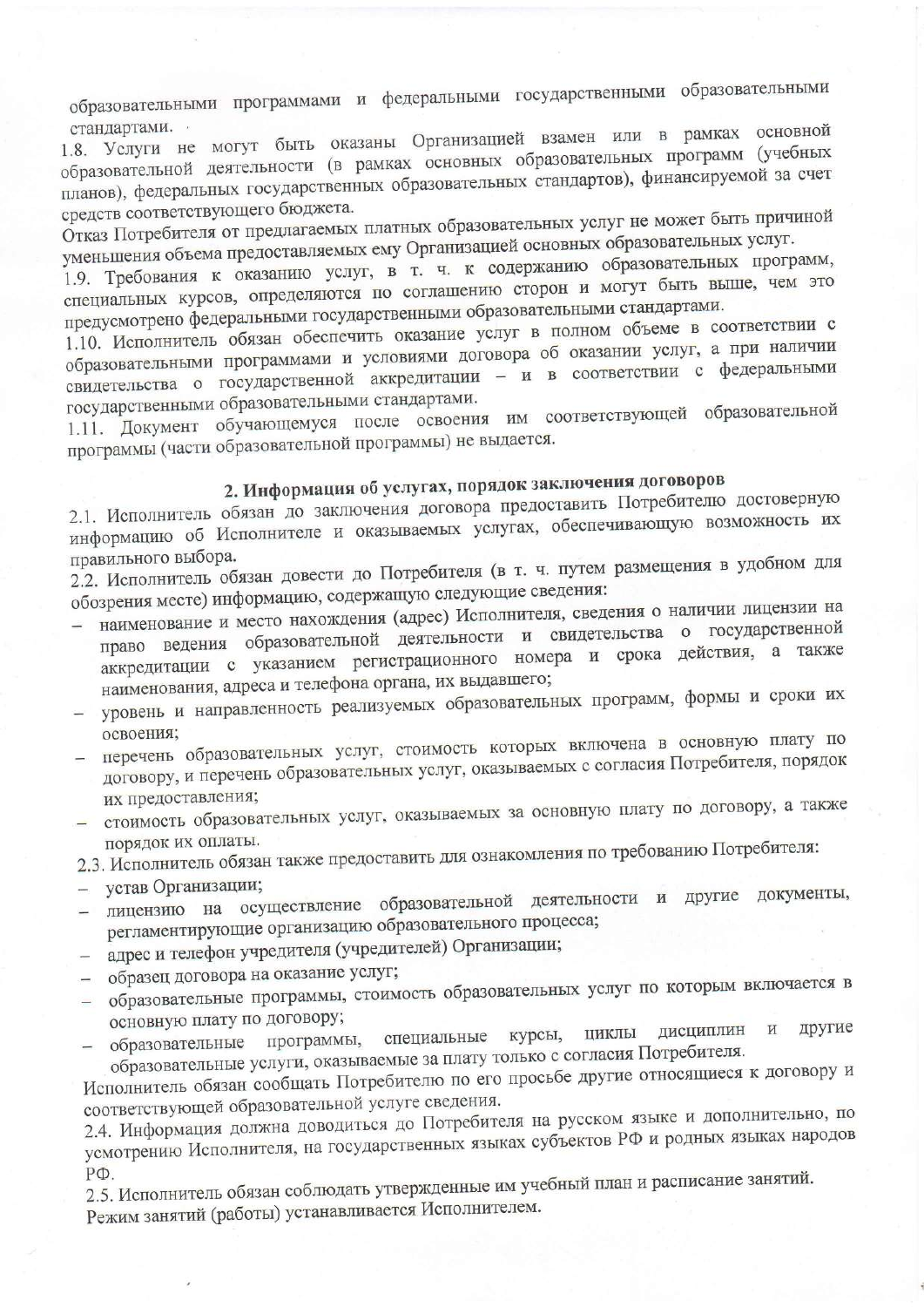образовательными программами и федеральными государственными образовательными стандартами.

1.8. Услуги не могут быть оказаны Организацией взамен или в рамках основной образовательной деятельности (в рамках основных образовательных программ (учебных планов), федеральных государственных образовательных стандартов), финансируемой за счет средств соответствующего бюджета.

Отказ Потребителя от предлагаемых платных образовательных услуг не может быть причиной уменьшения объема предоставляемых ему Организацией основных образовательных услуг.

1.9. Требования к оказанию услуг, в т. ч. к содержанию образовательных программ, специальных курсов, определяются по соглашению сторон и могут быть выше, чем это предусмотрено федеральными государственными образовательными стандартами.

1.10. Исполнитель обязан обеспечить оказание услуг в полном объеме в соответствии с образовательными программами и условиями договора об оказании услуг, а при наличии свидетельства о государственной аккредитации - и в соответствии с федеральными государственными образовательными стандартами.

1.11. Документ обучающемуся после освоения им соответствующей образовательной программы (части образовательной программы) не выдается.

# 2. Информация об услугах, порядок заключения договоров

2.1. Исполнитель обязан до заключения договора предоставить Потребителю достоверную информацию об Исполнителе и оказываемых услугах, обеспечивающую возможность их правильного выбора.

2.2. Исполнитель обязан довести до Потребителя (в т. ч. путем размещения в удобном для обозрения месте) информацию, содержащую следующие сведения:

- наименование и место нахождения (адрес) Исполнителя, сведения о наличии лицензии на право ведения образовательной деятельности и свидетельства о государственной аккредитации с указанием регистрационного номера и срока действия, а также наименования, адреса и телефона органа, их выдавшего;
- уровень и направленность реализуемых образовательных программ, формы и сроки их освоения;
- перечень образовательных услуг, стоимость которых включена в основную плату по договору, и перечень образовательных услуг, оказываемых с согласия Потребителя, порядок их предоставления;
- стоимость образовательных услуг, оказываемых за основную плату по договору, а также порядок их оплаты.

2.3. Исполнитель обязан также предоставить для ознакомления по требованию Потребителя:

- устав Организации;
- лицензию на осуществление образовательной деятельности и другие документы, регламентирующие организацию образовательного процесса;
- адрес и телефон учредителя (учредителей) Организации;
- образец договора на оказание услуг;
- образовательные программы, стоимость образовательных услуг по которым включается в основную плату по договору;
- другие дисциплин  $\,$   $\,$   $\,$   $\,$ образовательные программы, специальные курсы, ЦИКЛЫ образовательные услуги, оказываемые за плату только с согласия Потребителя.

Исполнитель обязан сообщать Потребителю по его просьбе другие относящиеся к договору и соответствующей образовательной услуге сведения.

2.4. Информация должна доводиться до Потребителя на русском языке и дополнительно, по усмотрению Исполнителя, на государственных языках субъектов РФ и родных языках народов  $P\Phi$ .

2.5. Исполнитель обязан соблюдать утвержденные им учебный план и расписание занятий. Режим занятий (работы) устанавливается Исполнителем.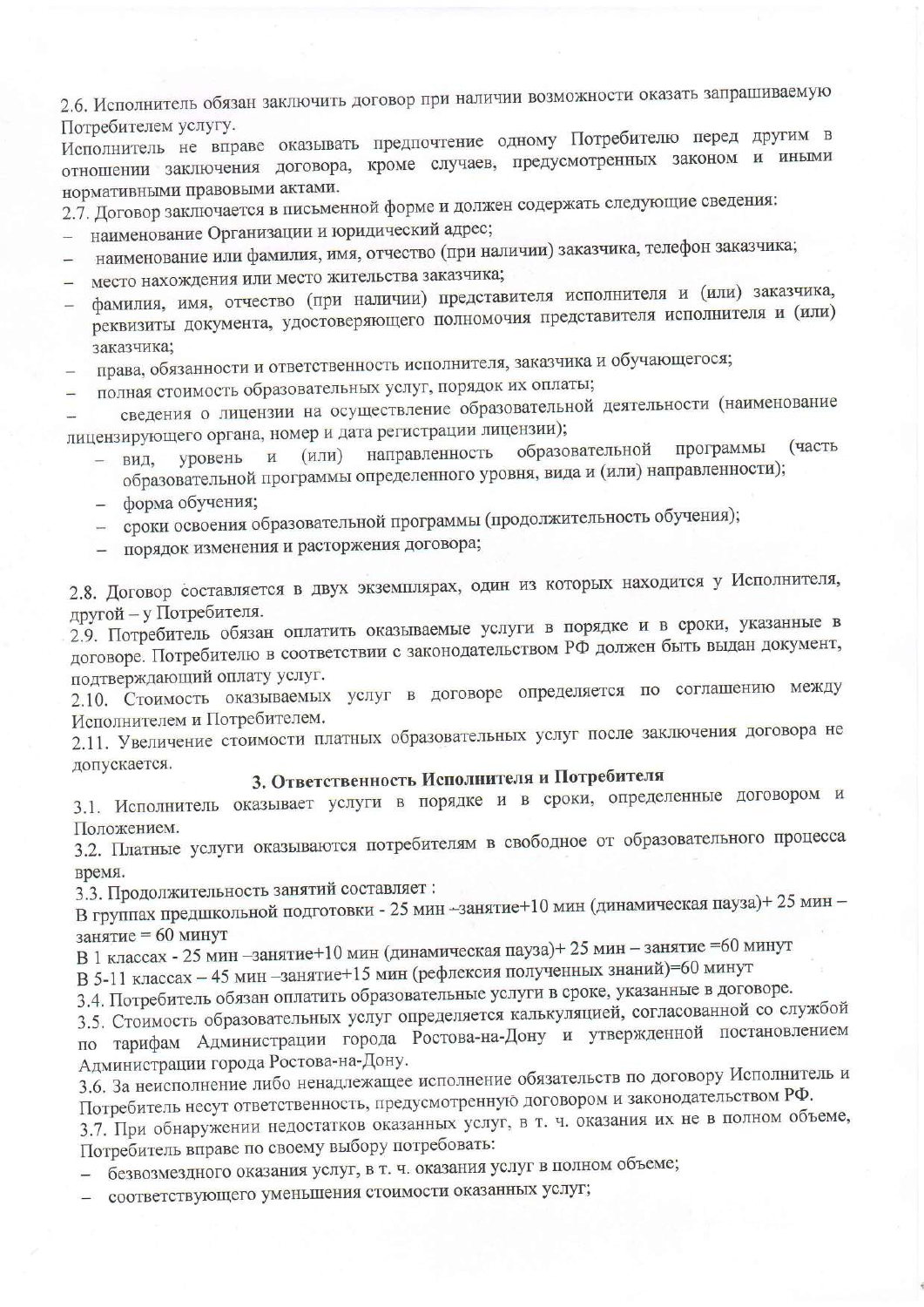2.6. Исполнитель обязан заключить договор при наличии возможности оказать запрашиваемую Потребителем услугу.

Исполнитель не вправе оказывать предпочтение одному Потребителю перед другим в отношении заключения договора, кроме случаев, предусмотренных законом и иными нормативными правовыми актами.

2.7. Договор заключается в письменной форме и должен содержать следующие сведения:

- наименование Организации и юридический адрес;
- наименование или фамилия, имя, отчество (при наличии) заказчика, телефон заказчика;
- место нахождения или место жительства заказчика;  $\equiv$
- фамилия, имя, отчество (при наличии) представителя исполнителя и (или) заказчика, реквизиты документа, удостоверяющего полномочия представителя исполнителя и (или) заказчика;
- права, обязанности и ответственность исполнителя, заказчика и обучающегося;
- полная стоимость образовательных услуг, порядок их оплаты;  $\frac{1}{2}$

сведения о лицензии на осуществление образовательной деятельности (наименование лицензирующего органа, номер и дата регистрации лицензии);

- образовательной программы (часть направленность  $(MJI)$ уровень  $\overline{M}$ вид. образовательной программы определенного уровня, вида и (или) направленности);
- форма обучения;
- сроки освоения образовательной программы (продолжительность обучения);
- порядок изменения и расторжения договора;

2.8. Договор составляется в двух экземплярах, один из которых находится у Исполнителя, другой - у Потребителя.

2.9. Потребитель обязан оплатить оказываемые услуги в порядке и в сроки, указанные в договоре. Потребителю в соответствии с законодательством РФ должен быть выдан документ, подтверждающий оплату услуг.

2.10. Стоимость оказываемых услуг в договоре определяется по соглашению между Исполнителем и Потребителем.

2.11. Увеличение стоимости платных образовательных услуг после заключения договора не допускается.

## 3. Ответственность Исполнителя и Потребителя

3.1. Исполнитель оказывает услуги в порядке и в сроки, определенные договором и Положением.

3.2. Платные услуги оказываются потребителям в свободное от образовательного процесса время.

3.3. Продолжительность занятий составляет:

В группах предшкольной подготовки - 25 мин -занятие+10 мин (динамическая пауза)+ 25 мин занятие = 60 минут

В 1 классах - 25 мин - занятие+10 мин (динамическая пауза)+ 25 мин - занятие = 60 минут

В 5-11 классах - 45 мин - занятие+15 мин (рефлексия полученных знаний)=60 минут

3.4. Потребитель обязан оплатить образовательные услуги в сроке, указанные в договоре.

3.5. Стоимость образовательных услуг определяется калькуляцией, согласованной со службой по тарифам Администрации города Ростова-на-Дону и утвержденной постановлением Администрации города Ростова-на-Дону.

3.6. За неисполнение либо ненадлежащее исполнение обязательств по договору Исполнитель и Потребитель несут ответственность, предусмотренную договором и законодательством РФ.

3.7. При обнаружении недостатков оказанных услуг, в т. ч. оказания их не в полном объеме, Потребитель вправе по своему выбору потребовать:

- безвозмездного оказания услуг, в т. ч. оказания услуг в полном объеме;

соответствующего уменьшения стоимости оказанных услуг;